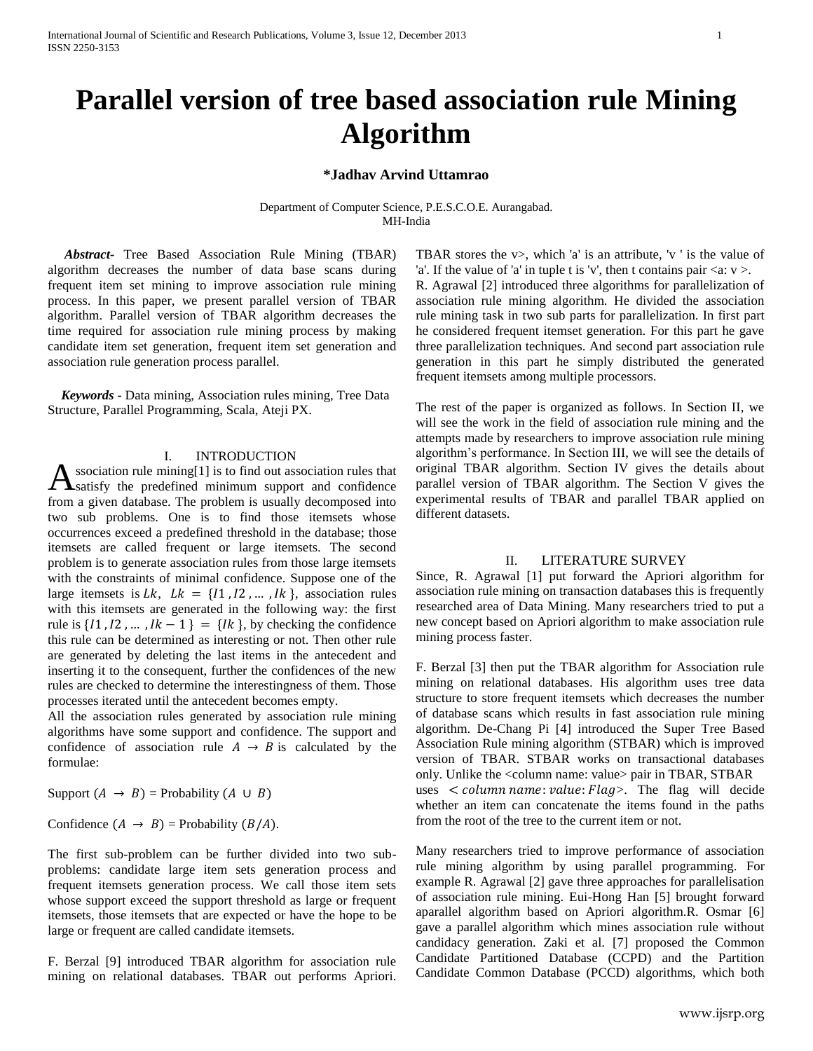# **Parallel version of tree based association rule Mining Algorithm**

### **\*Jadhav Arvind Uttamrao**

Department of Computer Science, P.E.S.C.O.E. Aurangabad. MH-India

 *Abstract-* Tree Based Association Rule Mining (TBAR) algorithm decreases the number of data base scans during frequent item set mining to improve association rule mining process. In this paper, we present parallel version of TBAR algorithm. Parallel version of TBAR algorithm decreases the time required for association rule mining process by making candidate item set generation, frequent item set generation and association rule generation process parallel.

 *Keywords -* Data mining, Association rules mining, Tree Data Structure, Parallel Programming, Scala, Ateji PX.

## I. INTRODUCTION

ssociation rule mining[1] is to find out association rules that  $\Lambda$ ssociation rule mining[1] is to find out association rules that satisfy the predefined minimum support and confidence from a given database. The problem is usually decomposed into two sub problems. One is to find those itemsets whose occurrences exceed a predefined threshold in the database; those itemsets are called frequent or large itemsets. The second problem is to generate association rules from those large itemsets with the constraints of minimal confidence. Suppose one of the large itemsets is  $Lk$ ,  $Lk = \{11, 12, \dots, lk\}$ , association rules with this itemsets are generated in the following way: the first rule is  $\{11, 12, \dots, 1k - 1\} = \{1k\}$ , by checking the confidence this rule can be determined as interesting or not. Then other rule are generated by deleting the last items in the antecedent and inserting it to the consequent, further the confidences of the new rules are checked to determine the interestingness of them. Those processes iterated until the antecedent becomes empty.

All the association rules generated by association rule mining algorithms have some support and confidence. The support and confidence of association rule  $A \rightarrow B$  is calculated by the formulae:

Support  $(A \rightarrow B)$  = Probability  $(A \cup B)$ 

Confidence  $(A \rightarrow B)$  = Probability  $(B/A)$ .

The first sub-problem can be further divided into two subproblems: candidate large item sets generation process and frequent itemsets generation process. We call those item sets whose support exceed the support threshold as large or frequent itemsets, those itemsets that are expected or have the hope to be large or frequent are called candidate itemsets.

F. Berzal [9] introduced TBAR algorithm for association rule mining on relational databases. TBAR out performs Apriori. TBAR stores the  $v$ , which 'a' is an attribute, 'v ' is the value of 'a'. If the value of 'a' in tuple t is 'v', then t contains pair  $\langle a: v \rangle$ . R. Agrawal [2] introduced three algorithms for parallelization of association rule mining algorithm. He divided the association rule mining task in two sub parts for parallelization. In first part he considered frequent itemset generation. For this part he gave three parallelization techniques. And second part association rule generation in this part he simply distributed the generated frequent itemsets among multiple processors.

The rest of the paper is organized as follows. In Section II, we will see the work in the field of association rule mining and the attempts made by researchers to improve association rule mining algorithm's performance. In Section III, we will see the details of original TBAR algorithm. Section IV gives the details about parallel version of TBAR algorithm. The Section V gives the experimental results of TBAR and parallel TBAR applied on different datasets.

### II. LITERATURE SURVEY

Since, R. Agrawal [1] put forward the Apriori algorithm for association rule mining on transaction databases this is frequently researched area of Data Mining. Many researchers tried to put a new concept based on Apriori algorithm to make association rule mining process faster.

F. Berzal [3] then put the TBAR algorithm for Association rule mining on relational databases. His algorithm uses tree data structure to store frequent itemsets which decreases the number of database scans which results in fast association rule mining algorithm. De-Chang Pi [4] introduced the Super Tree Based Association Rule mining algorithm (STBAR) which is improved version of TBAR. STBAR works on transactional databases only. Unlike the <column name: value> pair in TBAR, STBAR uses  $\langle$  column name: value: Flag >. The flag will decide whether an item can concatenate the items found in the paths from the root of the tree to the current item or not.

Many researchers tried to improve performance of association rule mining algorithm by using parallel programming. For example R. Agrawal [2] gave three approaches for parallelisation of association rule mining. Eui-Hong Han [5] brought forward aparallel algorithm based on Apriori algorithm.R. Osmar [6] gave a parallel algorithm which mines association rule without candidacy generation. Zaki et al. [7] proposed the Common Candidate Partitioned Database (CCPD) and the Partition Candidate Common Database (PCCD) algorithms, which both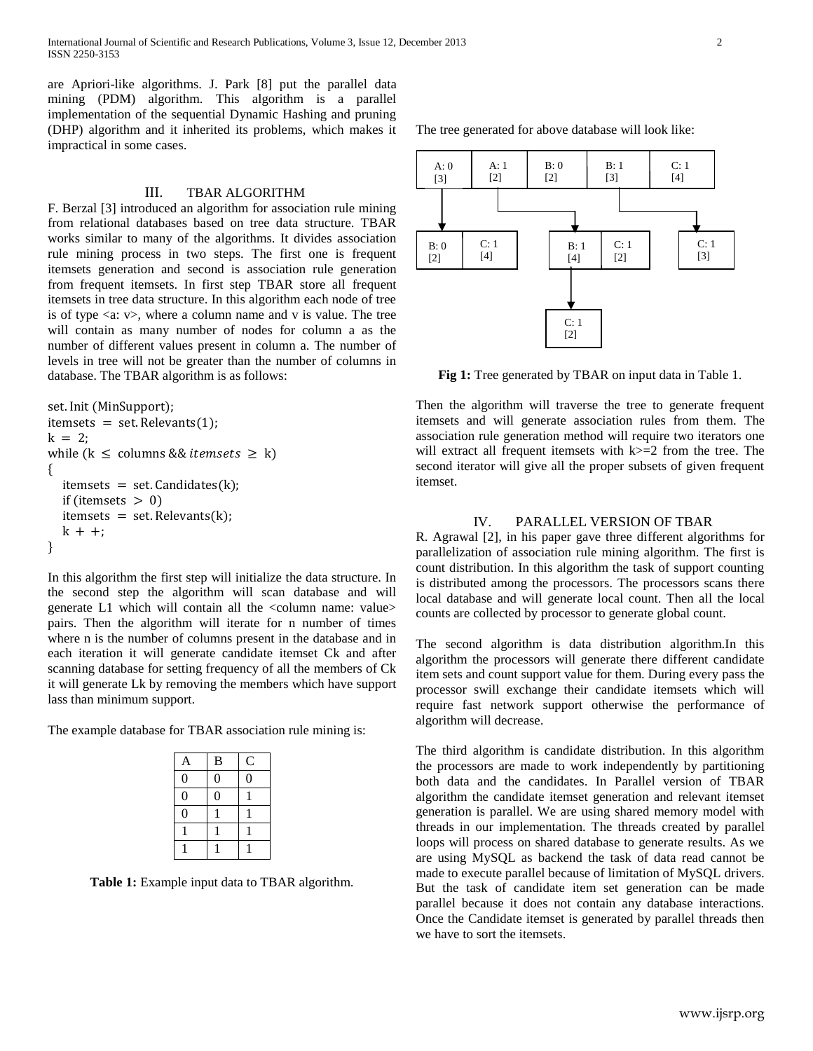are Apriori-like algorithms. J. Park [8] put the parallel data mining (PDM) algorithm. This algorithm is a parallel implementation of the sequential Dynamic Hashing and pruning (DHP) algorithm and it inherited its problems, which makes it impractical in some cases.

#### III. TBAR ALGORITHM

F. Berzal [3] introduced an algorithm for association rule mining from relational databases based on tree data structure. TBAR works similar to many of the algorithms. It divides association rule mining process in two steps. The first one is frequent itemsets generation and second is association rule generation from frequent itemsets. In first step TBAR store all frequent itemsets in tree data structure. In this algorithm each node of tree is of type  $\langle a: v \rangle$ , where a column name and v is value. The tree will contain as many number of nodes for column a as the number of different values present in column a. The number of levels in tree will not be greater than the number of columns in database. The TBAR algorithm is as follows:

```
set. Init (MinSupport);
itemsets = set. Relevants(1);
k = 2;
while (k \leq columns && itemsets \geq k)
\mathcal{L}itemsets = set. Candidates(k);
  if (itemsets > 0)
  itemsets = set. Relevants(k);
  k + +:
<sup>}</sup>
```
In this algorithm the first step will initialize the data structure. In the second step the algorithm will scan database and will generate L1 which will contain all the <column name: value> pairs. Then the algorithm will iterate for n number of times where n is the number of columns present in the database and in each iteration it will generate candidate itemset Ck and after scanning database for setting frequency of all the members of Ck it will generate Lk by removing the members which have support lass than minimum support.

The example database for TBAR association rule mining is:

| A                | $\bf{B}$       | $\mathsf{C}$   |
|------------------|----------------|----------------|
| $\boldsymbol{0}$ | $\overline{0}$ | $\overline{0}$ |
| $\boldsymbol{0}$ | $\overline{0}$ |                |
| $\overline{0}$   |                |                |
|                  |                |                |
|                  |                |                |

**Table 1:** Example input data to TBAR algorithm.

The tree generated for above database will look like:



**Fig 1:** Tree generated by TBAR on input data in Table 1.

Then the algorithm will traverse the tree to generate frequent itemsets and will generate association rules from them. The association rule generation method will require two iterators one will extract all frequent itemsets with  $k>=2$  from the tree. The second iterator will give all the proper subsets of given frequent itemset.

#### IV. PARALLEL VERSION OF TBAR

R. Agrawal [2], in his paper gave three different algorithms for parallelization of association rule mining algorithm. The first is count distribution. In this algorithm the task of support counting is distributed among the processors. The processors scans there local database and will generate local count. Then all the local counts are collected by processor to generate global count.

The second algorithm is data distribution algorithm.In this algorithm the processors will generate there different candidate item sets and count support value for them. During every pass the processor swill exchange their candidate itemsets which will require fast network support otherwise the performance of algorithm will decrease.

The third algorithm is candidate distribution. In this algorithm the processors are made to work independently by partitioning both data and the candidates. In Parallel version of TBAR algorithm the candidate itemset generation and relevant itemset generation is parallel. We are using shared memory model with threads in our implementation. The threads created by parallel loops will process on shared database to generate results. As we are using MySQL as backend the task of data read cannot be made to execute parallel because of limitation of MySQL drivers. But the task of candidate item set generation can be made parallel because it does not contain any database interactions. Once the Candidate itemset is generated by parallel threads then we have to sort the itemsets.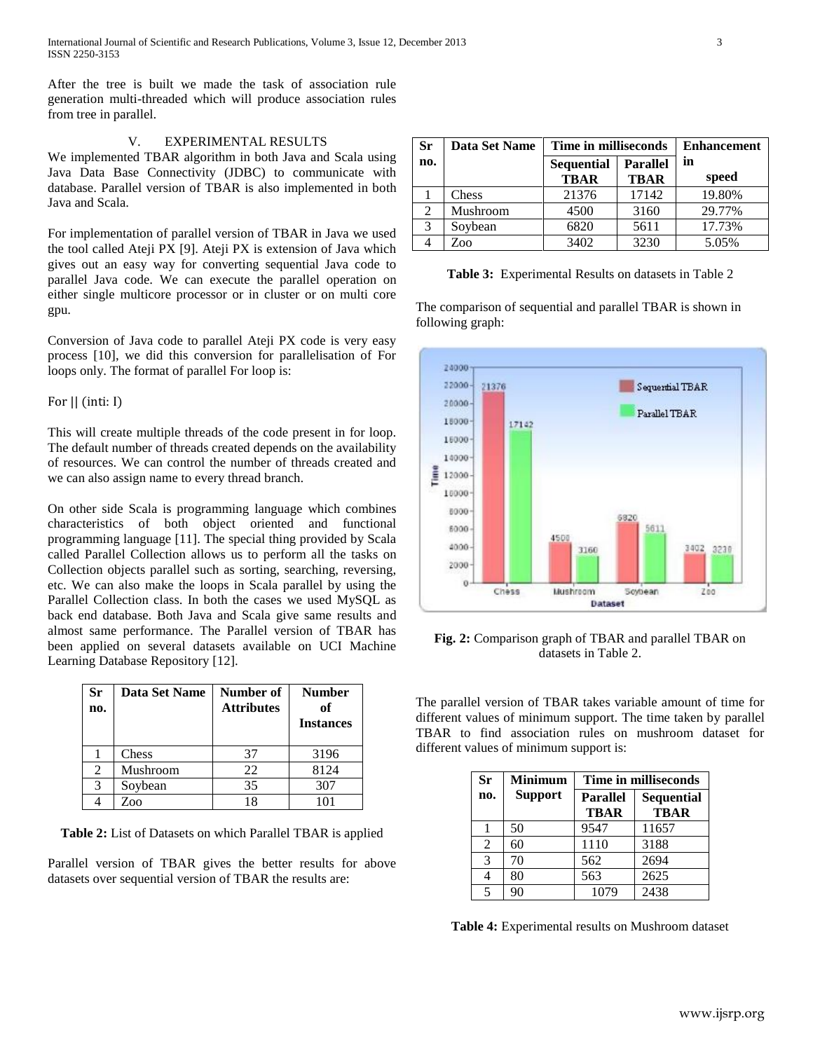After the tree is built we made the task of association rule generation multi-threaded which will produce association rules from tree in parallel.

## V. EXPERIMENTAL RESULTS

We implemented TBAR algorithm in both Java and Scala using Java Data Base Connectivity (JDBC) to communicate with database. Parallel version of TBAR is also implemented in both Java and Scala.

For implementation of parallel version of TBAR in Java we used the tool called Ateji PX [9]. Ateji PX is extension of Java which gives out an easy way for converting sequential Java code to parallel Java code. We can execute the parallel operation on either single multicore processor or in cluster or on multi core gpu.

Conversion of Java code to parallel Ateji PX code is very easy process [10], we did this conversion for parallelisation of For loops only. The format of parallel For loop is:

## For  $||$  (inti: I)

This will create multiple threads of the code present in for loop. The default number of threads created depends on the availability of resources. We can control the number of threads created and we can also assign name to every thread branch.

On other side Scala is programming language which combines characteristics of both object oriented and functional programming language [11]. The special thing provided by Scala called Parallel Collection allows us to perform all the tasks on Collection objects parallel such as sorting, searching, reversing, etc. We can also make the loops in Scala parallel by using the Parallel Collection class. In both the cases we used MySQL as back end database. Both Java and Scala give same results and almost same performance. The Parallel version of TBAR has been applied on several datasets available on UCI Machine Learning Database Repository [12].

| Sr<br>no.      | Data Set Name | Number of<br><b>Attributes</b> | <b>Number</b><br>of<br><b>Instances</b> |
|----------------|---------------|--------------------------------|-----------------------------------------|
|                | Chess         | 37                             | 3196                                    |
| $\mathfrak{D}$ | Mushroom      | 22                             | 8124                                    |
| 3              | Soybean       | 35                             | 307                                     |
|                | Zoo           |                                |                                         |

**Table 2:** List of Datasets on which Parallel TBAR is applied

Parallel version of TBAR gives the better results for above datasets over sequential version of TBAR the results are:

| <b>Sr</b> | Data Set Name | Time in milliseconds |                 | <b>Enhancement</b> |
|-----------|---------------|----------------------|-----------------|--------------------|
| no.       |               | <b>Sequential</b>    | <b>Parallel</b> | in                 |
|           |               | <b>TBAR</b>          | <b>TBAR</b>     | speed              |
|           | Chess         | 21376                | 17142           | 19.80%             |
| 2         | Mushroom      | 4500                 | 3160            | 29.77%             |
| 3         | Soybean       | 6820                 | 5611            | 17.73%             |
|           | Zoo           | 3402                 | 3230            | 5.05%              |

**Table 3:** Experimental Results on datasets in Table 2

The comparison of sequential and parallel TBAR is shown in following graph:



**Fig. 2:** Comparison graph of TBAR and parallel TBAR on datasets in Table 2.

The parallel version of TBAR takes variable amount of time for different values of minimum support. The time taken by parallel TBAR to find association rules on mushroom dataset for different values of minimum support is:

| <b>Sr</b>     | <b>Minimum</b> | Time in milliseconds           |                                  |  |
|---------------|----------------|--------------------------------|----------------------------------|--|
| no.           | <b>Support</b> | <b>Parallel</b><br><b>TBAR</b> | <b>Sequential</b><br><b>TBAR</b> |  |
|               | 50             | 9547                           | 11657                            |  |
| 2             | 60             | 1110                           | 3188                             |  |
| $\mathcal{R}$ | 70             | 562                            | 2694                             |  |
|               | 80             | 563                            | 2625                             |  |
| 5             | 90             | 1079                           | 2438                             |  |

**Table 4:** Experimental results on Mushroom dataset